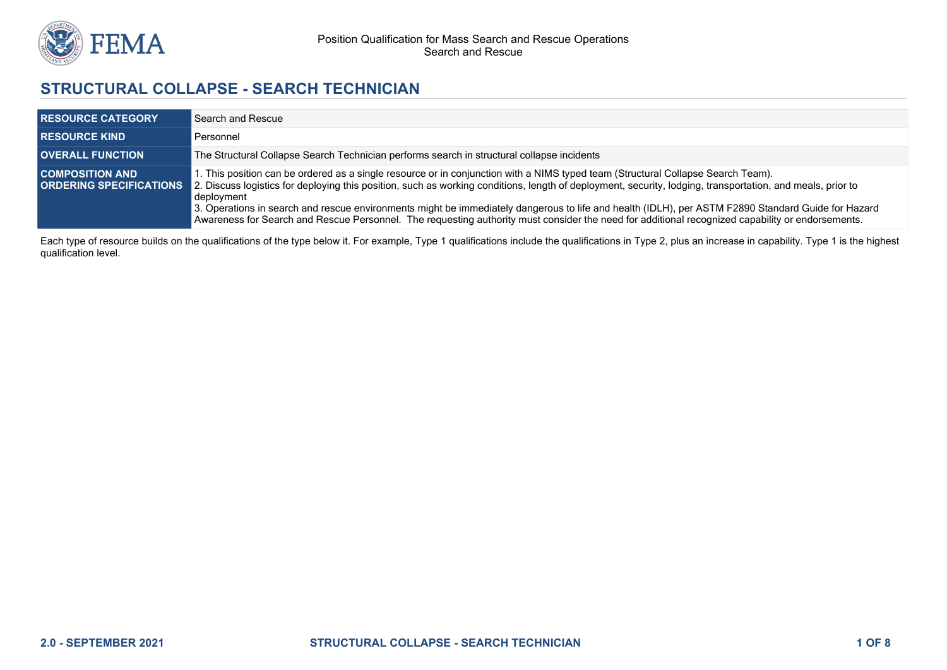

# **STRUCTURAL COLLAPSE - SEARCH TECHNICIAN**

| <b>RESOURCE CATEGORY</b> | Search and Rescue                                                                                                                                                                                                                                                                                                                           |
|--------------------------|---------------------------------------------------------------------------------------------------------------------------------------------------------------------------------------------------------------------------------------------------------------------------------------------------------------------------------------------|
| <b>RESOURCE KIND</b>     | Personnel                                                                                                                                                                                                                                                                                                                                   |
| <b>OVERALL FUNCTION</b>  | The Structural Collapse Search Technician performs search in structural collapse incidents                                                                                                                                                                                                                                                  |
| <b>COMPOSITION AND</b>   | 1. This position can be ordered as a single resource or in conjunction with a NIMS typed team (Structural Collapse Search Team).<br><b>ORDERING SPECIFICATIONS</b> 2. Discuss logistics for deploying this position, such as working conditions, length of deployment, security, lodging, transportation, and meals, prior to<br>deplovment |
|                          | 3. Operations in search and rescue environments might be immediately dangerous to life and health (IDLH), per ASTM F2890 Standard Guide for Hazard<br>Awareness for Search and Rescue Personnel. The requesting authority must consider the need for additional recognized capability or endorsements.                                      |

Each type of resource builds on the qualifications of the type below it. For example, Type 1 qualifications include the qualifications in Type 2, plus an increase in capability. Type 1 is the highest qualification level.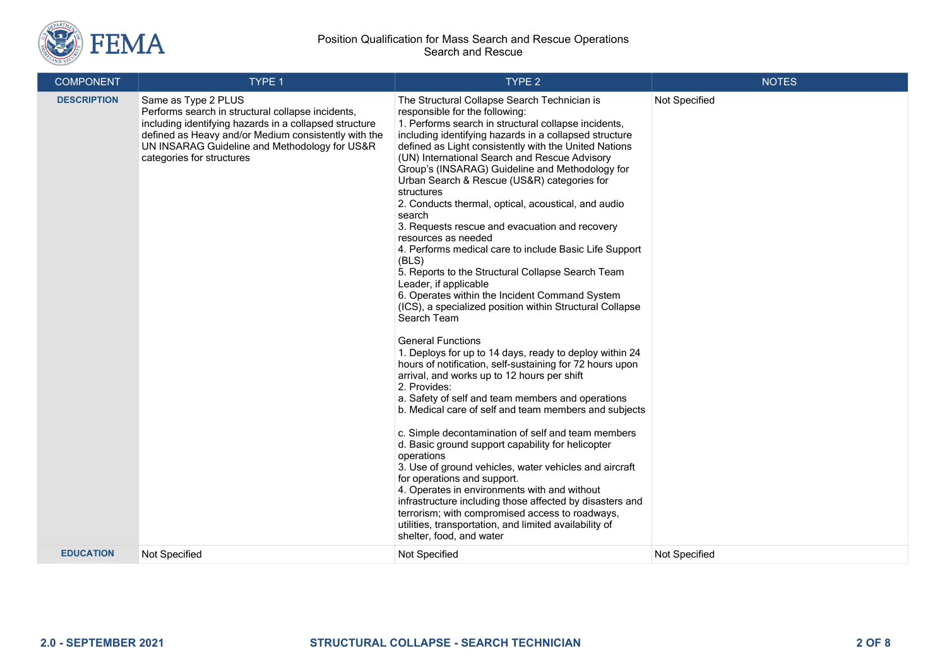

| <b>COMPONENT</b>   | TYPE 1                                                                                                                                                                                                                                                                   | TYPE 2                                                                                                                                                                                                                                                                                                                                                                                                                                                                                                                                                                                                                                                                                                                                                                                                                                                                                                                                                                                                                                                                                                                                                                                                                                                                                                                                                                                                                                                                                                                                                                                                                                                    | <b>NOTES</b>  |
|--------------------|--------------------------------------------------------------------------------------------------------------------------------------------------------------------------------------------------------------------------------------------------------------------------|-----------------------------------------------------------------------------------------------------------------------------------------------------------------------------------------------------------------------------------------------------------------------------------------------------------------------------------------------------------------------------------------------------------------------------------------------------------------------------------------------------------------------------------------------------------------------------------------------------------------------------------------------------------------------------------------------------------------------------------------------------------------------------------------------------------------------------------------------------------------------------------------------------------------------------------------------------------------------------------------------------------------------------------------------------------------------------------------------------------------------------------------------------------------------------------------------------------------------------------------------------------------------------------------------------------------------------------------------------------------------------------------------------------------------------------------------------------------------------------------------------------------------------------------------------------------------------------------------------------------------------------------------------------|---------------|
| <b>DESCRIPTION</b> | Same as Type 2 PLUS<br>Performs search in structural collapse incidents,<br>including identifying hazards in a collapsed structure<br>defined as Heavy and/or Medium consistently with the<br>UN INSARAG Guideline and Methodology for US&R<br>categories for structures | The Structural Collapse Search Technician is<br>responsible for the following:<br>1. Performs search in structural collapse incidents,<br>including identifying hazards in a collapsed structure<br>defined as Light consistently with the United Nations<br>(UN) International Search and Rescue Advisory<br>Group's (INSARAG) Guideline and Methodology for<br>Urban Search & Rescue (US&R) categories for<br>structures<br>2. Conducts thermal, optical, acoustical, and audio<br>search<br>3. Requests rescue and evacuation and recovery<br>resources as needed<br>4. Performs medical care to include Basic Life Support<br>(BLS)<br>5. Reports to the Structural Collapse Search Team<br>Leader, if applicable<br>6. Operates within the Incident Command System<br>(ICS), a specialized position within Structural Collapse<br>Search Team<br><b>General Functions</b><br>1. Deploys for up to 14 days, ready to deploy within 24<br>hours of notification, self-sustaining for 72 hours upon<br>arrival, and works up to 12 hours per shift<br>2. Provides:<br>a. Safety of self and team members and operations<br>b. Medical care of self and team members and subjects<br>c. Simple decontamination of self and team members<br>d. Basic ground support capability for helicopter<br>operations<br>3. Use of ground vehicles, water vehicles and aircraft<br>for operations and support.<br>4. Operates in environments with and without<br>infrastructure including those affected by disasters and<br>terrorism; with compromised access to roadways,<br>utilities, transportation, and limited availability of<br>shelter, food, and water | Not Specified |
| <b>EDUCATION</b>   | Not Specified                                                                                                                                                                                                                                                            | Not Specified                                                                                                                                                                                                                                                                                                                                                                                                                                                                                                                                                                                                                                                                                                                                                                                                                                                                                                                                                                                                                                                                                                                                                                                                                                                                                                                                                                                                                                                                                                                                                                                                                                             | Not Specified |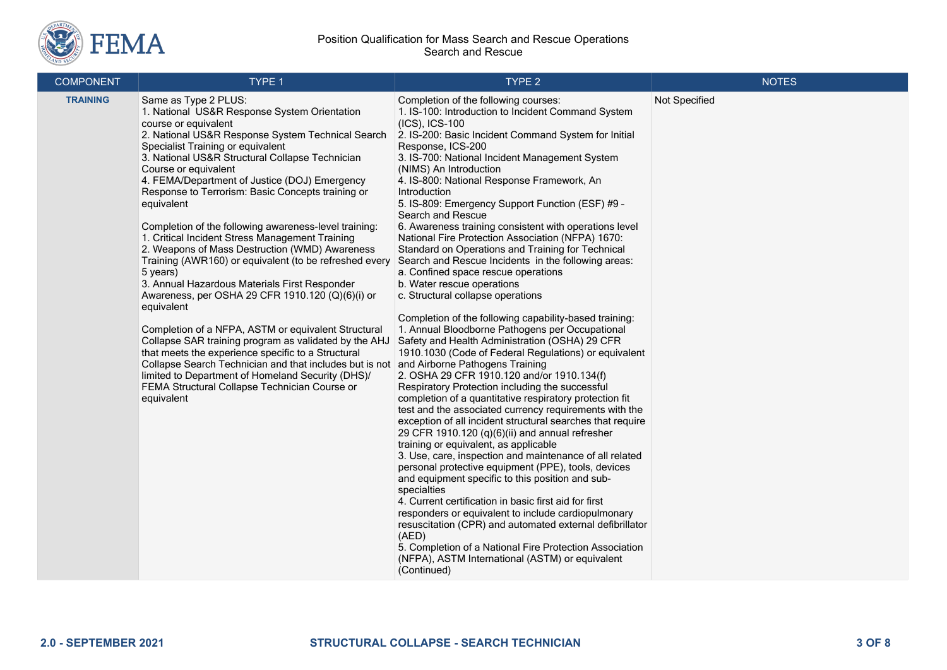

| <b>COMPONENT</b> | TYPE 1                                                                                                                                                                                                                                                                                                                                                                                                                                                                                                                                                                                                                                                                                                                                                                                                                                                                                                                                                                                                                                                                                            | TYPE <sub>2</sub>                                                                                                                                                                                                                                                                                                                                                                                                                                                                                                                                                                                                                                                                                                                                                                                                                                                                                                                                                                                                                                                                                                                                                                                                                                                                                                                                                                                                                                                                                                                                                                                                                                                                                                                                                                                                                                                                                        | <b>NOTES</b>  |
|------------------|---------------------------------------------------------------------------------------------------------------------------------------------------------------------------------------------------------------------------------------------------------------------------------------------------------------------------------------------------------------------------------------------------------------------------------------------------------------------------------------------------------------------------------------------------------------------------------------------------------------------------------------------------------------------------------------------------------------------------------------------------------------------------------------------------------------------------------------------------------------------------------------------------------------------------------------------------------------------------------------------------------------------------------------------------------------------------------------------------|----------------------------------------------------------------------------------------------------------------------------------------------------------------------------------------------------------------------------------------------------------------------------------------------------------------------------------------------------------------------------------------------------------------------------------------------------------------------------------------------------------------------------------------------------------------------------------------------------------------------------------------------------------------------------------------------------------------------------------------------------------------------------------------------------------------------------------------------------------------------------------------------------------------------------------------------------------------------------------------------------------------------------------------------------------------------------------------------------------------------------------------------------------------------------------------------------------------------------------------------------------------------------------------------------------------------------------------------------------------------------------------------------------------------------------------------------------------------------------------------------------------------------------------------------------------------------------------------------------------------------------------------------------------------------------------------------------------------------------------------------------------------------------------------------------------------------------------------------------------------------------------------------------|---------------|
| <b>TRAINING</b>  | Same as Type 2 PLUS:<br>1. National US&R Response System Orientation<br>course or equivalent<br>2. National US&R Response System Technical Search<br>Specialist Training or equivalent<br>3. National US&R Structural Collapse Technician<br>Course or equivalent<br>4. FEMA/Department of Justice (DOJ) Emergency<br>Response to Terrorism: Basic Concepts training or<br>equivalent<br>Completion of the following awareness-level training:<br>1. Critical Incident Stress Management Training<br>2. Weapons of Mass Destruction (WMD) Awareness<br>Training (AWR160) or equivalent (to be refreshed every<br>5 years)<br>3. Annual Hazardous Materials First Responder<br>Awareness, per OSHA 29 CFR 1910.120 (Q)(6)(i) or<br>equivalent<br>Completion of a NFPA, ASTM or equivalent Structural<br>Collapse SAR training program as validated by the AHJ<br>that meets the experience specific to a Structural<br>Collapse Search Technician and that includes but is not<br>limited to Department of Homeland Security (DHS)/<br>FEMA Structural Collapse Technician Course or<br>equivalent | Completion of the following courses:<br>1. IS-100: Introduction to Incident Command System<br>$(ICS)$ , $ICS-100$<br>2. IS-200: Basic Incident Command System for Initial<br>Response, ICS-200<br>3. IS-700: National Incident Management System<br>(NIMS) An Introduction<br>4. IS-800: National Response Framework, An<br>Introduction<br>5. IS-809: Emergency Support Function (ESF) #9 -<br>Search and Rescue<br>6. Awareness training consistent with operations level<br>National Fire Protection Association (NFPA) 1670:<br>Standard on Operations and Training for Technical<br>Search and Rescue Incidents in the following areas:<br>a. Confined space rescue operations<br>b. Water rescue operations<br>c. Structural collapse operations<br>Completion of the following capability-based training:<br>1. Annual Bloodborne Pathogens per Occupational<br>Safety and Health Administration (OSHA) 29 CFR<br>1910.1030 (Code of Federal Regulations) or equivalent<br>and Airborne Pathogens Training<br>2. OSHA 29 CFR 1910.120 and/or 1910.134(f)<br>Respiratory Protection including the successful<br>completion of a quantitative respiratory protection fit<br>test and the associated currency requirements with the<br>exception of all incident structural searches that require<br>29 CFR 1910.120 (q)(6)(ii) and annual refresher<br>training or equivalent, as applicable<br>3. Use, care, inspection and maintenance of all related<br>personal protective equipment (PPE), tools, devices<br>and equipment specific to this position and sub-<br>specialties<br>4. Current certification in basic first aid for first<br>responders or equivalent to include cardiopulmonary<br>resuscitation (CPR) and automated external defibrillator<br>(AED)<br>5. Completion of a National Fire Protection Association<br>(NFPA), ASTM International (ASTM) or equivalent<br>(Continued) | Not Specified |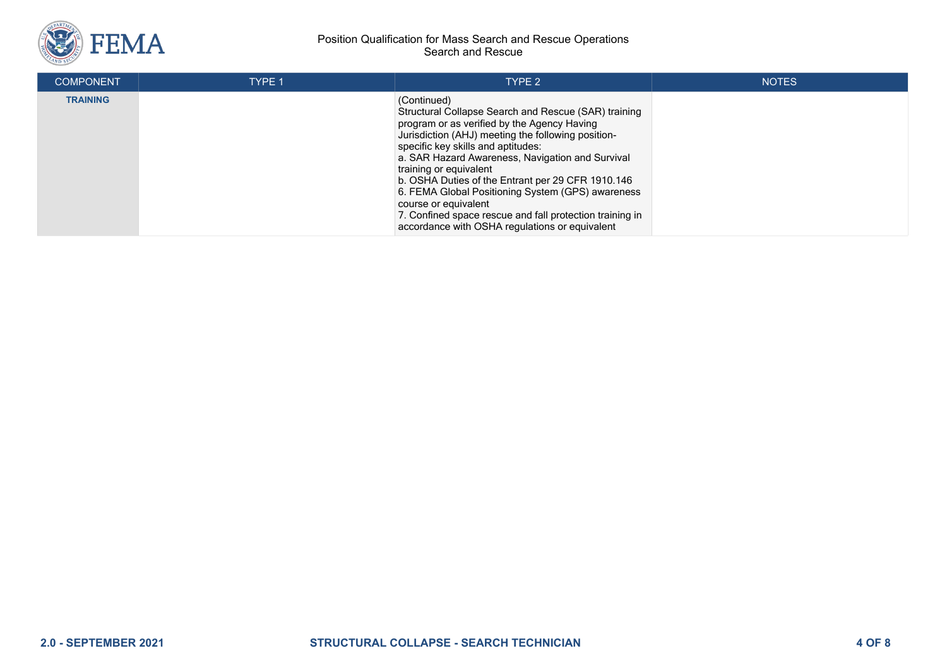

| <b>COMPONENT</b> | <b>TYPE 1</b> | TYPE 2                                                                                                                                                                                                                                                                                                                                                                                                                                                                                                                                       | <b>NOTES</b> |
|------------------|---------------|----------------------------------------------------------------------------------------------------------------------------------------------------------------------------------------------------------------------------------------------------------------------------------------------------------------------------------------------------------------------------------------------------------------------------------------------------------------------------------------------------------------------------------------------|--------------|
| <b>TRAINING</b>  |               | (Continued)<br>Structural Collapse Search and Rescue (SAR) training<br>program or as verified by the Agency Having<br>Jurisdiction (AHJ) meeting the following position-<br>specific key skills and aptitudes:<br>a. SAR Hazard Awareness, Navigation and Survival<br>training or equivalent<br>b. OSHA Duties of the Entrant per 29 CFR 1910.146<br>6. FEMA Global Positioning System (GPS) awareness<br>course or equivalent<br>7. Confined space rescue and fall protection training in<br>accordance with OSHA regulations or equivalent |              |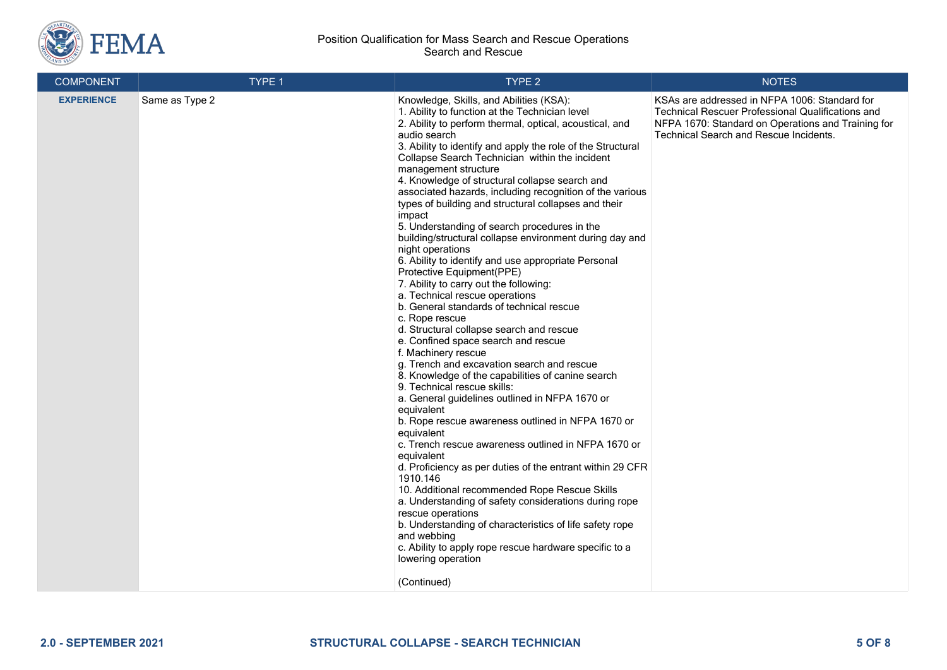

| <b>COMPONENT</b>  | TYPE 1         | TYPE 2                                                                                                                                                                                                                                                                                                                                                                                                                                                                                                                                                                                                                                                                                                                                                                                                                                                                                                                                                                                                                                                                                                                                                                                                                                                                                                                                                                                                                                                                                                                                                                                                                                                                                          | <b>NOTES</b>                                                                                                                                                                                                     |
|-------------------|----------------|-------------------------------------------------------------------------------------------------------------------------------------------------------------------------------------------------------------------------------------------------------------------------------------------------------------------------------------------------------------------------------------------------------------------------------------------------------------------------------------------------------------------------------------------------------------------------------------------------------------------------------------------------------------------------------------------------------------------------------------------------------------------------------------------------------------------------------------------------------------------------------------------------------------------------------------------------------------------------------------------------------------------------------------------------------------------------------------------------------------------------------------------------------------------------------------------------------------------------------------------------------------------------------------------------------------------------------------------------------------------------------------------------------------------------------------------------------------------------------------------------------------------------------------------------------------------------------------------------------------------------------------------------------------------------------------------------|------------------------------------------------------------------------------------------------------------------------------------------------------------------------------------------------------------------|
| <b>EXPERIENCE</b> | Same as Type 2 | Knowledge, Skills, and Abilities (KSA):<br>1. Ability to function at the Technician level<br>2. Ability to perform thermal, optical, acoustical, and<br>audio search<br>3. Ability to identify and apply the role of the Structural<br>Collapse Search Technician within the incident<br>management structure<br>4. Knowledge of structural collapse search and<br>associated hazards, including recognition of the various<br>types of building and structural collapses and their<br>impact<br>5. Understanding of search procedures in the<br>building/structural collapse environment during day and<br>night operations<br>6. Ability to identify and use appropriate Personal<br>Protective Equipment(PPE)<br>7. Ability to carry out the following:<br>a. Technical rescue operations<br>b. General standards of technical rescue<br>c. Rope rescue<br>d. Structural collapse search and rescue<br>e. Confined space search and rescue<br>f. Machinery rescue<br>g. Trench and excavation search and rescue<br>8. Knowledge of the capabilities of canine search<br>9. Technical rescue skills:<br>a. General guidelines outlined in NFPA 1670 or<br>equivalent<br>b. Rope rescue awareness outlined in NFPA 1670 or<br>equivalent<br>c. Trench rescue awareness outlined in NFPA 1670 or<br>equivalent<br>d. Proficiency as per duties of the entrant within 29 CFR<br>1910.146<br>10. Additional recommended Rope Rescue Skills<br>a. Understanding of safety considerations during rope<br>rescue operations<br>b. Understanding of characteristics of life safety rope<br>and webbing<br>c. Ability to apply rope rescue hardware specific to a<br>lowering operation<br>(Continued) | KSAs are addressed in NFPA 1006: Standard for<br><b>Technical Rescuer Professional Qualifications and</b><br>NFPA 1670: Standard on Operations and Training for<br><b>Technical Search and Rescue Incidents.</b> |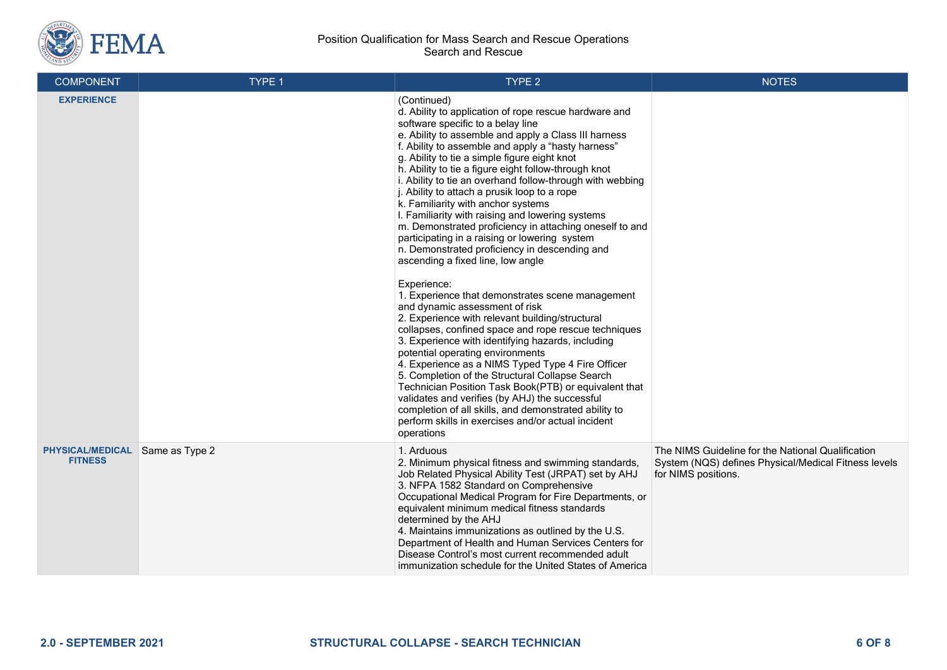

| <b>COMPONENT</b>                          | TYPE 1         | TYPE 2                                                                                                                                                                                                                                                                                                                                                                                                                                                                                                                                                                                                                                                                                                                                                                                                                                                                                                                                                                                                                                                                                                                                                                                                                                                                                                                                                                                            | <b>NOTES</b>                                                                                                                     |
|-------------------------------------------|----------------|---------------------------------------------------------------------------------------------------------------------------------------------------------------------------------------------------------------------------------------------------------------------------------------------------------------------------------------------------------------------------------------------------------------------------------------------------------------------------------------------------------------------------------------------------------------------------------------------------------------------------------------------------------------------------------------------------------------------------------------------------------------------------------------------------------------------------------------------------------------------------------------------------------------------------------------------------------------------------------------------------------------------------------------------------------------------------------------------------------------------------------------------------------------------------------------------------------------------------------------------------------------------------------------------------------------------------------------------------------------------------------------------------|----------------------------------------------------------------------------------------------------------------------------------|
| <b>EXPERIENCE</b>                         |                | (Continued)<br>d. Ability to application of rope rescue hardware and<br>software specific to a belay line<br>e. Ability to assemble and apply a Class III harness<br>f. Ability to assemble and apply a "hasty harness"<br>g. Ability to tie a simple figure eight knot<br>h. Ability to tie a figure eight follow-through knot<br>i. Ability to tie an overhand follow-through with webbing<br>j. Ability to attach a prusik loop to a rope<br>k. Familiarity with anchor systems<br>I. Familiarity with raising and lowering systems<br>m. Demonstrated proficiency in attaching oneself to and<br>participating in a raising or lowering system<br>n. Demonstrated proficiency in descending and<br>ascending a fixed line, low angle<br>Experience:<br>1. Experience that demonstrates scene management<br>and dynamic assessment of risk<br>2. Experience with relevant building/structural<br>collapses, confined space and rope rescue techniques<br>3. Experience with identifying hazards, including<br>potential operating environments<br>4. Experience as a NIMS Typed Type 4 Fire Officer<br>5. Completion of the Structural Collapse Search<br>Technician Position Task Book(PTB) or equivalent that<br>validates and verifies (by AHJ) the successful<br>completion of all skills, and demonstrated ability to<br>perform skills in exercises and/or actual incident<br>operations |                                                                                                                                  |
| <b>PHYSICAL/MEDICAL</b><br><b>FITNESS</b> | Same as Type 2 | 1. Arduous<br>2. Minimum physical fitness and swimming standards,<br>Job Related Physical Ability Test (JRPAT) set by AHJ<br>3. NFPA 1582 Standard on Comprehensive<br>Occupational Medical Program for Fire Departments, or<br>equivalent minimum medical fitness standards<br>determined by the AHJ<br>4. Maintains immunizations as outlined by the U.S.<br>Department of Health and Human Services Centers for<br>Disease Control's most current recommended adult<br>immunization schedule for the United States of America                                                                                                                                                                                                                                                                                                                                                                                                                                                                                                                                                                                                                                                                                                                                                                                                                                                                  | The NIMS Guideline for the National Qualification<br>System (NQS) defines Physical/Medical Fitness levels<br>for NIMS positions. |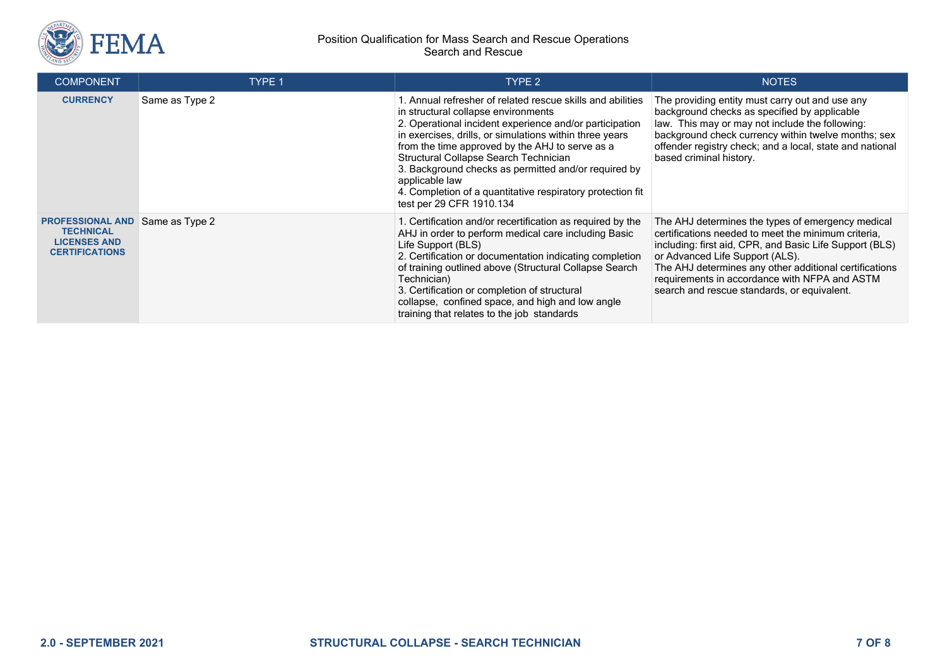

| <b>COMPONENT</b>                                                                            | TYPE 1         | TYPE 2                                                                                                                                                                                                                                                                                                                                                                                                                                                                                  | <b>NOTES</b>                                                                                                                                                                                                                                                                                                                                                     |
|---------------------------------------------------------------------------------------------|----------------|-----------------------------------------------------------------------------------------------------------------------------------------------------------------------------------------------------------------------------------------------------------------------------------------------------------------------------------------------------------------------------------------------------------------------------------------------------------------------------------------|------------------------------------------------------------------------------------------------------------------------------------------------------------------------------------------------------------------------------------------------------------------------------------------------------------------------------------------------------------------|
| <b>CURRENCY</b>                                                                             | Same as Type 2 | 1. Annual refresher of related rescue skills and abilities<br>in structural collapse environments<br>2. Operational incident experience and/or participation<br>in exercises, drills, or simulations within three years<br>from the time approved by the AHJ to serve as a<br>Structural Collapse Search Technician<br>3. Background checks as permitted and/or required by<br>applicable law<br>4. Completion of a quantitative respiratory protection fit<br>test per 29 CFR 1910.134 | The providing entity must carry out and use any<br>background checks as specified by applicable<br>law. This may or may not include the following:<br>background check currency within twelve months; sex<br>offender registry check; and a local, state and national<br>based criminal history.                                                                 |
| <b>PROFESSIONAL AND</b><br><b>TECHNICAL</b><br><b>LICENSES AND</b><br><b>CERTIFICATIONS</b> | Same as Type 2 | 1. Certification and/or recertification as required by the<br>AHJ in order to perform medical care including Basic<br>Life Support (BLS)<br>2. Certification or documentation indicating completion<br>of training outlined above (Structural Collapse Search<br>Technician)<br>3. Certification or completion of structural<br>collapse, confined space, and high and low angle<br>training that relates to the job standards                                                          | The AHJ determines the types of emergency medical<br>certifications needed to meet the minimum criteria,<br>including: first aid, CPR, and Basic Life Support (BLS)<br>or Advanced Life Support (ALS).<br>The AHJ determines any other additional certifications<br>requirements in accordance with NFPA and ASTM<br>search and rescue standards, or equivalent. |